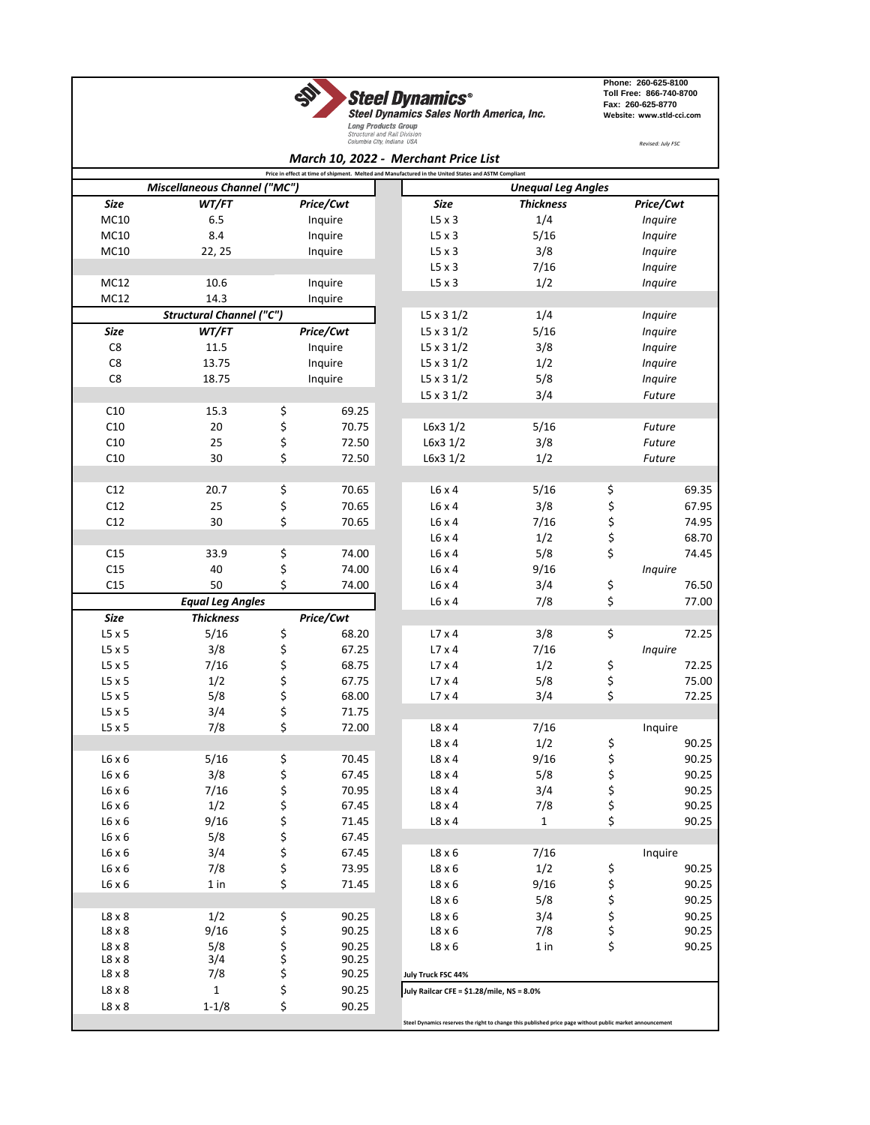

**Steel Dynamics**<sup>®</sup><br>
Steel Dynamics Sales North America, Inc.<br> *Long Products Group*<br>
Structura and Gal Division<br>
Structura and Gal Division<br>
Structura and Gal Division

**Phone: 260-625-8100 Toll Free: 866-740-8700 Fax: 260-625-8770 Website: www.stld-cci.com**

*Revised: July FSC*

|  | Aarch 10, 2022 - Marchant Drica List |  |  |
|--|--------------------------------------|--|--|

|                                                                                                      |                                 |          |           |  | March 10, 2022 - Merchant Price List      |                                                                                                          |          |           |       |
|------------------------------------------------------------------------------------------------------|---------------------------------|----------|-----------|--|-------------------------------------------|----------------------------------------------------------------------------------------------------------|----------|-----------|-------|
| Price in effect at time of shipment. Melted and Manufactured in the United States and ASTM Compliant |                                 |          |           |  |                                           |                                                                                                          |          |           |       |
|                                                                                                      | Miscellaneous Channel ("MC")    |          |           |  |                                           | <b>Unequal Leg Angles</b>                                                                                |          |           |       |
| Size                                                                                                 | WT/FT                           |          | Price/Cwt |  | Size                                      | <b>Thickness</b>                                                                                         |          | Price/Cwt |       |
| MC10                                                                                                 | 6.5                             |          | Inquire   |  | $L5 \times 3$                             | 1/4                                                                                                      |          | Inquire   |       |
| MC10                                                                                                 | 8.4                             |          | Inquire   |  | $L5 \times 3$                             | 5/16                                                                                                     |          | Inquire   |       |
| MC10                                                                                                 | 22, 25                          |          | Inquire   |  | $L5 \times 3$                             | 3/8                                                                                                      |          | Inquire   |       |
|                                                                                                      |                                 |          |           |  | $L5 \times 3$                             | 7/16                                                                                                     |          | Inquire   |       |
| MC12                                                                                                 | 10.6                            |          | Inquire   |  | $L5 \times 3$                             | 1/2                                                                                                      |          | Inquire   |       |
| MC12                                                                                                 | 14.3                            |          | Inquire   |  |                                           |                                                                                                          |          |           |       |
|                                                                                                      | <b>Structural Channel ("C")</b> |          |           |  | $L5 \times 31/2$                          | 1/4                                                                                                      |          | Inquire   |       |
| Size                                                                                                 | WT/FT                           |          | Price/Cwt |  | $L5 \times 31/2$                          | 5/16                                                                                                     |          | Inquire   |       |
| C8                                                                                                   | 11.5                            |          | Inquire   |  | $L5 \times 31/2$                          | 3/8                                                                                                      |          | Inquire   |       |
| C8                                                                                                   | 13.75                           |          | Inquire   |  | $L5 \times 31/2$                          | 1/2                                                                                                      |          | Inquire   |       |
| C8                                                                                                   | 18.75                           |          | Inquire   |  | $L5 \times 31/2$                          | 5/8                                                                                                      |          | Inquire   |       |
|                                                                                                      |                                 |          |           |  | $L5 \times 31/2$                          | 3/4                                                                                                      |          | Future    |       |
| C10                                                                                                  | 15.3                            | \$       | 69.25     |  |                                           |                                                                                                          |          |           |       |
| C10                                                                                                  | 20                              | \$       | 70.75     |  | L6x3 1/2                                  | 5/16                                                                                                     |          | Future    |       |
| C10                                                                                                  | 25                              | \$       | 72.50     |  | L6x3 1/2                                  | 3/8                                                                                                      |          | Future    |       |
| C10                                                                                                  | 30                              | \$       | 72.50     |  | L6x31/2                                   | 1/2                                                                                                      |          | Future    |       |
|                                                                                                      |                                 |          |           |  |                                           |                                                                                                          |          |           |       |
| C12                                                                                                  | 20.7                            | \$       | 70.65     |  | $L6 \times 4$                             | 5/16                                                                                                     | \$       |           | 69.35 |
| C12                                                                                                  | 25                              |          | 70.65     |  | $L6 \times 4$                             | 3/8                                                                                                      |          |           | 67.95 |
|                                                                                                      |                                 | \$<br>\$ |           |  |                                           |                                                                                                          | \$       |           |       |
| C12                                                                                                  | 30                              |          | 70.65     |  | $L6 \times 4$                             | 7/16                                                                                                     | \$<br>\$ |           | 74.95 |
|                                                                                                      |                                 |          |           |  | $L6 \times 4$                             | 1/2                                                                                                      |          |           | 68.70 |
| C15                                                                                                  | 33.9                            | \$       | 74.00     |  | $L6 \times 4$                             | 5/8                                                                                                      | \$       |           | 74.45 |
| C15                                                                                                  | 40                              | \$       | 74.00     |  | $L6 \times 4$                             | 9/16                                                                                                     |          | Inquire   |       |
| C15                                                                                                  | 50                              | \$       | 74.00     |  | $L6 \times 4$                             | 3/4                                                                                                      | \$       |           | 76.50 |
|                                                                                                      | <b>Equal Leg Angles</b>         |          |           |  | $L6 \times 4$                             | 7/8                                                                                                      | \$       |           | 77.00 |
| Size                                                                                                 | <b>Thickness</b>                |          | Price/Cwt |  |                                           |                                                                                                          |          |           |       |
| $L5 \times 5$                                                                                        | 5/16                            | \$       | 68.20     |  | $L7 \times 4$                             | 3/8                                                                                                      | \$       |           | 72.25 |
| $L5 \times 5$                                                                                        | 3/8                             |          | 67.25     |  | $L7 \times 4$                             | 7/16                                                                                                     |          | Inquire   |       |
| $L5 \times 5$                                                                                        | 7/16                            |          | 68.75     |  | $L7 \times 4$                             | 1/2                                                                                                      | \$       |           | 72.25 |
| $L5 \times 5$                                                                                        | 1/2                             |          | 67.75     |  | $L7 \times 4$                             | 5/8                                                                                                      | \$       |           | 75.00 |
| $L5 \times 5$                                                                                        | 5/8                             |          | 68.00     |  | L7 x 4                                    | 3/4                                                                                                      | \$       |           | 72.25 |
| $L5 \times 5$                                                                                        | 3/4                             | やややさ     | 71.75     |  |                                           |                                                                                                          |          |           |       |
| $L5 \times 5$                                                                                        | 7/8                             |          | 72.00     |  | $L8 \times 4$                             | 7/16                                                                                                     |          | Inquire   |       |
|                                                                                                      |                                 |          |           |  | $L8 \times 4$                             | 1/2                                                                                                      | \$       |           | 90.25 |
| $L6 \times 6$                                                                                        | 5/16                            | \$       | 70.45     |  | $L8 \times 4$                             | 9/16                                                                                                     | \$       |           | 90.25 |
| $L6 \times 6$                                                                                        | 3/8                             | \$       | 67.45     |  | $L8 \times 4$                             | 5/8                                                                                                      | \$       |           | 90.25 |
| $L6 \times 6$                                                                                        | 7/16                            | \$       | 70.95     |  | $L8 \times 4$                             | 3/4                                                                                                      | ς        |           | 90.25 |
| L6 x 6                                                                                               | 1/2                             | \$       | 67.45     |  | L8 x 4                                    | 7/8                                                                                                      | \$       |           | 90.25 |
| $L6 \times 6$                                                                                        | 9/16                            | \$       | 71.45     |  | $L8 \times 4$                             | $\mathbf{1}$                                                                                             | \$       |           | 90.25 |
| $L6 \times 6$                                                                                        | 5/8                             | \$       | 67.45     |  |                                           |                                                                                                          |          |           |       |
| $L6 \times 6$                                                                                        | 3/4                             | \$       | 67.45     |  | $L8 \times 6$                             | 7/16                                                                                                     |          | Inquire   |       |
| $L6 \times 6$                                                                                        | 7/8                             | \$       | 73.95     |  | $L8 \times 6$                             | 1/2                                                                                                      | \$       |           | 90.25 |
| $L6 \times 6$                                                                                        | 1 in                            | \$       | 71.45     |  | $L8 \times 6$                             | 9/16                                                                                                     |          |           | 90.25 |
|                                                                                                      |                                 |          |           |  | $L8 \times 6$                             | 5/8                                                                                                      | \$       |           | 90.25 |
| $L8 \times 8$                                                                                        | 1/2                             | \$       | 90.25     |  | $L8 \times 6$                             | 3/4                                                                                                      | \$       |           | 90.25 |
| $L8 \times 8$                                                                                        | 9/16                            | \$       | 90.25     |  | $L8 \times 6$                             | 7/8                                                                                                      | \$       |           | 90.25 |
| $L8 \times 8$                                                                                        | 5/8                             |          | 90.25     |  | $L8 \times 6$                             | 1 in                                                                                                     | \$       |           | 90.25 |
| $L8 \times 8$                                                                                        | 3/4                             | \$<br>\$ | 90.25     |  |                                           |                                                                                                          |          |           |       |
| $L8 \times 8$                                                                                        | 7/8                             | \$       | 90.25     |  | July Truck FSC 44%                        |                                                                                                          |          |           |       |
| $L8 \times 8$                                                                                        | $\mathbf{1}$                    | \$       | 90.25     |  | July Railcar CFE = \$1.28/mile, NS = 8.0% |                                                                                                          |          |           |       |
| $L8 \times 8$                                                                                        | $1 - 1/8$                       | \$       | 90.25     |  |                                           |                                                                                                          |          |           |       |
|                                                                                                      |                                 |          |           |  |                                           | Steel Dynamics reserves the right to change this published price page without public market announcement |          |           |       |
|                                                                                                      |                                 |          |           |  |                                           |                                                                                                          |          |           |       |